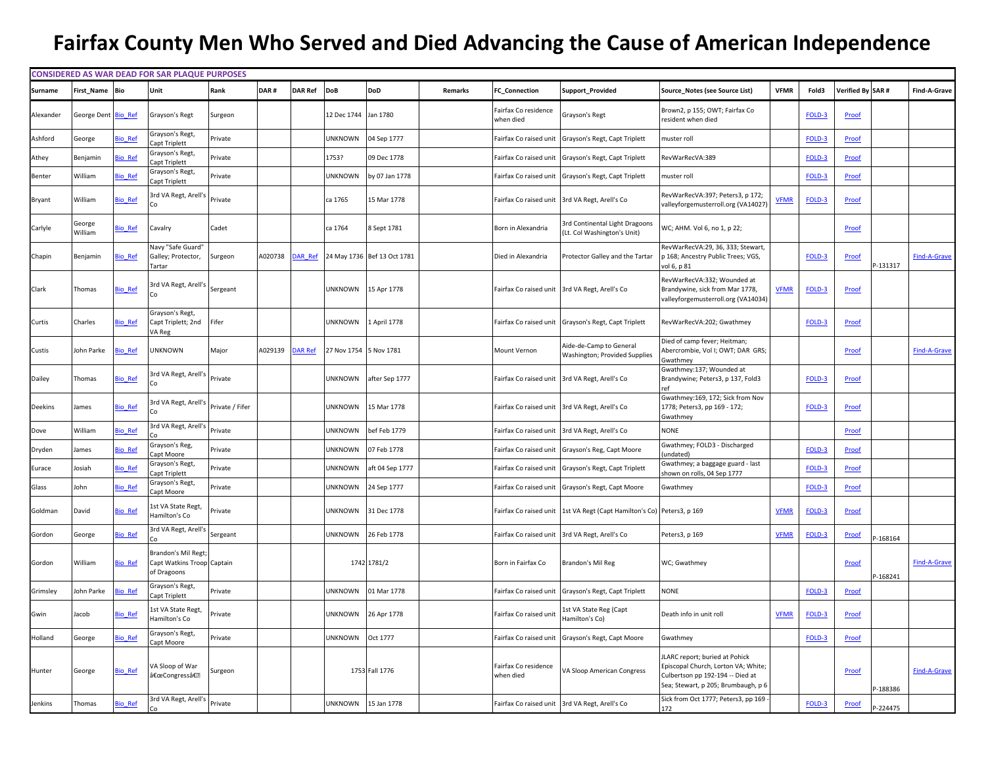## **Fairfax County Men Who Served and Died Advancing the Cause of American Independence**

|           |                     |                | <b>CONSIDERED AS WAR DEAD FOR SAR PLAQUE PURPOSES</b>                  |                 |         |                |                        |                             |         |                                   |                                                                        |                                                                                                                                                  |             |        |                   |           |                     |
|-----------|---------------------|----------------|------------------------------------------------------------------------|-----------------|---------|----------------|------------------------|-----------------------------|---------|-----------------------------------|------------------------------------------------------------------------|--------------------------------------------------------------------------------------------------------------------------------------------------|-------------|--------|-------------------|-----------|---------------------|
| Surname   | First Name          | Bio            | Unit                                                                   | Rank            | DAR#    | <b>DAR Ref</b> | DoB                    | DoD                         | Remarks | <b>FC</b> Connection              | Support_Provided                                                       | Source_Notes (see Source List)                                                                                                                   | <b>VFMR</b> | Fold3  | Verified By SAR # |           | Find-A-Grave        |
| Alexander | George Dent Bio Ref |                | Grayson's Regt                                                         | Surgeon         |         |                | 12 Dec 1744            | Jan 1780                    |         | Fairfax Co residence<br>when died | Grayson's Regt                                                         | Brown2, p 155; OWT; Fairfax Co<br>resident when died                                                                                             |             | FOLD-3 | Proof             |           |                     |
| Ashford   | George              | <b>Sio</b> Ref | Grayson's Regt<br>Capt Triplett                                        | Private         |         |                | <b>JNKNOWN</b>         | 04 Sep 1777                 |         | Fairfax Co raised unit            | Grayson's Regt, Capt Triplett                                          | muster roll                                                                                                                                      |             | FOLD-3 | Proof             |           |                     |
| Athey     | Benjamin            | io Ref         | Grayson's Regt,<br>apt Triplett                                        | Private         |         |                | 1753?                  | 09 Dec 1778                 |         | Fairfax Co raised unit            | Grayson's Regt, Capt Triplett                                          | RevWarRecVA:389                                                                                                                                  |             | FOLD-3 | Proof             |           |                     |
| Benter    | William             | <b>Sio Ref</b> | Grayson's Regt,<br>Capt Triplett                                       | Private         |         |                | <b>JNKNOWN</b>         | by 07 Jan 1778              |         | Fairfax Co raised unit            | Grayson's Regt, Capt Triplett                                          | muster roll                                                                                                                                      |             | FOLD-3 | Proof             |           |                     |
| Bryant    | William             | <b>Bio Ref</b> | 3rd VA Regt, Arell's                                                   | Private         |         |                | ca 1765                | 15 Mar 1778                 |         |                                   | Fairfax Co raised unit 3rd VA Regt, Arell's Co                         | RevWarRecVA:397; Peters3, p 172;<br>valleyforgemusterroll.org (VA14027                                                                           | <b>VFMR</b> | FOLD-3 | <b>Proof</b>      |           |                     |
| Carlyle   | George<br>William   | <b>Bio Ref</b> | Cavalry                                                                | Cadet           |         |                | ca 1764                | 8 Sept 1781                 |         | Born in Alexandria                | 3rd Continental Light Dragoons<br>(Lt. Col Washington's Unit)          | WC; AHM. Vol 6, no 1, p 22;                                                                                                                      |             |        | Proof             |           |                     |
| Chapin    | Benjamin            | <b>Sio Ref</b> | Navy "Safe Guard"<br>Galley; Protector,<br>Tartar                      | Surgeon         | 4020738 | <b>DAR Ref</b> |                        | 24 May 1736 Bef 13 Oct 1781 |         | Died in Alexandria                | Protector Galley and the Tartar                                        | RevWarRecVA:29, 36, 333; Stewart,<br>p 168; Ancestry Public Trees; VGS,<br>vol 6, p 81                                                           |             | FOLD-3 | Proof             | $-131317$ | <b>Find-A-Grave</b> |
| Clark     | Thomas              | <b>Bio Ref</b> | 3rd VA Regt, Arell's                                                   | Sergeant        |         |                | UNKNOWN                | 15 Apr 1778                 |         |                                   | Fairfax Co raised unit 3rd VA Regt, Arell's Co                         | RevWarRecVA:332; Wounded at<br>Brandywine, sick from Mar 1778,<br>valleyforgemusterroll.org (VA14034)                                            | <b>VFMR</b> | FOLD-3 | Proof             |           |                     |
| Curtis    | Charles             | <b>Sio Ref</b> | Grayson's Regt,<br>Capt Triplett; 2nd<br>VA Reg                        | Fifer           |         |                | UNKNOWN                | 1 April 1778                |         |                                   | Fairfax Co raised unit Grayson's Regt, Capt Triplett                   | RevWarRecVA:202; Gwathmey                                                                                                                        |             | FOLD-3 | Proof             |           |                     |
| Custis    | John Parke          | <b>Sio</b> Ref | UNKNOWN                                                                | Major           | A029139 | DAR Ref        | 27 Nov 1754 5 Nov 1781 |                             |         | Mount Vernon                      | Aide-de-Camp to General<br>Washington; Provided Supplies               | Died of camp fever; Heitman;<br>Abercrombie, Vol I; OWT; DAR GRS;<br>swathmey                                                                    |             |        | Proof             |           | <b>Find-A-Grave</b> |
| Dailey    | Thomas              | <b>Bio Ref</b> | 3rd VA Regt, Arell's                                                   | Private         |         |                | UNKNOWN                | after Sep 1777              |         |                                   | Fairfax Co raised unit 3rd VA Regt, Arell's Co                         | Gwathmey:137; Wounded at<br>Brandywine; Peters3, p 137, Fold3                                                                                    |             | FOLD-3 | Proof             |           |                     |
| Deekins   | lames               | <b>Sio</b> Ref | 3rd VA Regt, Arell's                                                   | Private / Fifer |         |                | <b>JNKNOWN</b>         | 15 Mar 1778                 |         |                                   | Fairfax Co raised unit 3rd VA Regt, Arell's Co                         | Gwathmey:169, 172; Sick from Nov<br>1778; Peters3, pp 169 - 172;<br>Gwathmey                                                                     |             | FOLD-3 | Proof             |           |                     |
| Dove      | William             | <b>Sio</b> Ref | 3rd VA Regt, Arell's                                                   | Private         |         |                | <b>JNKNOWN</b>         | ef Feb 1779                 |         |                                   | Fairfax Co raised unit 3rd VA Regt, Arell's Co                         | <b>NONE</b>                                                                                                                                      |             |        | Proof             |           |                     |
| Dryden    | James               | io Ref         | Grayson's Reg,<br>Capt Moore                                           | Private         |         |                | <b>JNKNOWN</b>         | 07 Feb 1778                 |         |                                   | Fairfax Co raised unit Grayson's Reg, Capt Moore                       | Gwathmey; FOLD3 - Discharged<br>undated)                                                                                                         |             | FOLD-3 | Proof             |           |                     |
| Eurace    | Josiah              | io Ref         | Grayson's Regt,<br>apt Triplett                                        | Private         |         |                | <b>JNKNOWN</b>         | aft 04 Sep 1777             |         | Fairfax Co raised unit            | Grayson's Regt, Capt Triplett                                          | Gwathmey; a baggage guard - last<br>shown on rolls, 04 Sep 1777                                                                                  |             | FOLD-3 | Proof             |           |                     |
| Glass     | lohn                | <b>Sio Ref</b> | Grayson's Regt,<br>Capt Moore                                          | Private         |         |                | <b>JNKNOWN</b>         | 24 Sep 1777                 |         |                                   | Fairfax Co raised unit Grayson's Regt, Capt Moore                      | Gwathmey                                                                                                                                         |             | FOLD-3 | Proof             |           |                     |
| Goldman   | David               | <b>Sio Ref</b> | <b>ist VA State Regt,</b><br>lamilton's Co                             | Private         |         |                | <b>JNKNOWN</b>         | 31 Dec 1778                 |         |                                   | Fairfax Co raised unit 1st VA Regt (Capt Hamilton's Co) Peters3, p 169 |                                                                                                                                                  | <b>VFMR</b> | FOLD-3 | Proof             |           |                     |
| Gordon    | George              | <b>Sio Ref</b> | 3rd VA Regt, Arell's                                                   | Sergeant        |         |                | <b>JNKNOWN</b>         | 26 Feb 1778                 |         |                                   | Fairfax Co raised unit 3rd VA Regt, Arell's Co                         | Peters3, p 169                                                                                                                                   | <b>VFMR</b> | FOLD-3 | Proof             | $-168164$ |                     |
| Gordon    | William             | <b>Sio Ref</b> | <b>Brandon's Mil Regt</b><br>Capt Watkins Troop Captain<br>of Dragoons |                 |         |                |                        | 1742 1781/2                 |         | Born in Fairfax Co                | Brandon's Mil Reg                                                      | WC; Gwathmey                                                                                                                                     |             |        | Proof             | $-168241$ | <b>Find-A-Grave</b> |
| Grimsley  | Iohn Parke          | <b>Sio Ref</b> | Grayson's Regt,<br>Capt Triplett                                       | Private         |         |                | <b>JNKNOWN</b>         | 01 Mar 1778                 |         |                                   | Fairfax Co raised unit Grayson's Regt, Capt Triplett                   | <b>NONE</b>                                                                                                                                      |             | FOLD-3 | Proof             |           |                     |
| Gwin      | lacob               | <b>Sio Ref</b> | <b>Ist VA State Regt,</b><br>lamilton's Co                             | Private         |         |                | <b>JNKNOWN</b>         | 26 Apr 1778                 |         | Fairfax Co raised unit            | 1st VA State Reg (Capt<br>lamilton's Co)                               | Death info in unit roll                                                                                                                          | <b>VFMR</b> | FOLD-3 | Proof             |           |                     |
| Holland   | George              | <b>Sio Ref</b> | Grayson's Regt,<br>Capt Moore                                          | Private         |         |                | <b>JNKNOWN</b>         | Oct 1777                    |         |                                   | Fairfax Co raised unit Grayson's Regt, Capt Moore                      | Gwathmey                                                                                                                                         |             | FOLD-3 | Proof             |           |                     |
| Hunter    | George              | <b>Bio Ref</b> | /A Sloop of War<br>"Congressâ€⊠                                        | Surgeon         |         |                |                        | 1753 Fall 1776              |         | Fairfax Co residence<br>when died | VA Sloop American Congress                                             | JLARC report; buried at Pohick<br>Episcopal Church, Lorton VA; White;<br>Culbertson pp 192-194 -- Died at<br>Sea; Stewart, p 205; Brumbaugh, p 6 |             |        | Proof             | -188386   | <b>Find-A-Grave</b> |
| Jenkins   | Thomas              | <b>Bio Ref</b> | 3rd VA Regt, Arell's                                                   | Private         |         |                | <b>UNKNOWN</b>         | 15 Jan 1778                 |         |                                   | Fairfax Co raised unit 3rd VA Regt, Arell's Co                         | Sick from Oct 1777; Peters3, pp 169<br>172                                                                                                       |             | FOLD-3 | Proof             | $-224475$ |                     |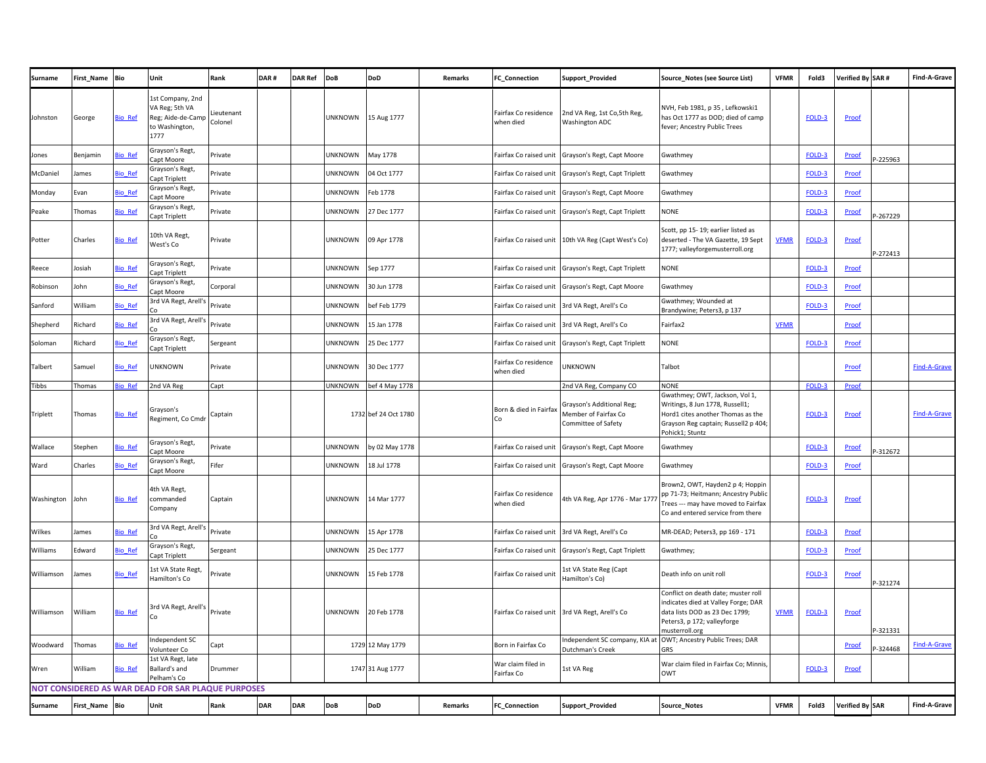| <b>Surname</b> | First_Name | <b>Bio</b>     | Unit                                                                             | Rank                  | DAR#       | <b>DAR Ref</b> | <b>DoB</b>     | <b>DoD</b>           | Remarks | FC_Connection                     | Support_Provided                                                         | Source_Notes (see Source List)                                                                                                                                    | <b>VFMR</b> | Fold3  | Verified By SAR # |           | Find-A-Grave        |
|----------------|------------|----------------|----------------------------------------------------------------------------------|-----------------------|------------|----------------|----------------|----------------------|---------|-----------------------------------|--------------------------------------------------------------------------|-------------------------------------------------------------------------------------------------------------------------------------------------------------------|-------------|--------|-------------------|-----------|---------------------|
| Johnston       | George     | <b>Bio Ref</b> | 1st Company, 2nd<br>VA Reg; 5th VA<br>Reg; Aide-de-Camp<br>o Washington,<br>1777 | Lieutenant<br>Colonel |            |                | <b>UNKNOWN</b> | 15 Aug 1777          |         | Fairfax Co residence<br>when died | 2nd VA Reg, 1st Co,5th Reg,<br><b>Washington ADC</b>                     | NVH, Feb 1981, p 35, Lefkowski1<br>has Oct 1777 as DOD; died of camp<br>fever; Ancestry Public Trees                                                              |             | FOLD-3 | Proof             |           |                     |
| Jones          | Benjamin   | <b>Sio</b> Ref | Grayson's Regt,<br>Capt Moore                                                    | Private               |            |                | <b>JNKNOWN</b> | May 1778             |         | Fairfax Co raised unit            | Grayson's Regt, Capt Moore                                               | Gwathmey                                                                                                                                                          |             | FOLD-3 | Proof             | $-225963$ |                     |
| McDaniel       | James      | io Ref         | Grayson's Regt,<br>apt Triplett                                                  | Private               |            |                | <b>UNKNOWN</b> | 04 Oct 1777          |         | Fairfax Co raised unit            | Grayson's Regt, Capt Triplett                                            | Gwathmey                                                                                                                                                          |             | FOLD-3 | Proof             |           |                     |
| Monday         | Evan       | io Ref         | Grayson's Regt,<br>Capt Moore                                                    | Private               |            |                | <b>UNKNOWN</b> | Feb 1778             |         | Fairfax Co raised unit            | Grayson's Regt, Capt Moore                                               | Gwathmey                                                                                                                                                          |             | FOLD-3 | Proof             |           |                     |
| Peake          | Thomas     | <b>Sio Ref</b> | Grayson's Regt,<br>apt Triplett                                                  | Private               |            |                | <b>UNKNOWN</b> | 27 Dec 1777          |         |                                   | Fairfax Co raised unit Grayson's Regt, Capt Triplett                     | <b>NONE</b>                                                                                                                                                       |             | FOLD-3 | Proof             | -267229   |                     |
| Potter         | Charles    | <b>Bio_Ref</b> | 10th VA Regt,<br>West's Co                                                       | Private               |            |                | <b>UNKNOWN</b> | 09 Apr 1778          |         |                                   | Fairfax Co raised unit 10th VA Reg (Capt West's Co)                      | Scott, pp 15-19; earlier listed as<br>deserted - The VA Gazette, 19 Sept<br>1777; valleyforgemusterroll.org                                                       | <b>VFMR</b> | FOLD-3 | Proof             | P-272413  |                     |
| Reece          | Josiah     | <b>Sio</b> Ref | Grayson's Regt,<br>Capt Triplett                                                 | Private               |            |                | <b>UNKNOWN</b> | Sep 1777             |         |                                   | Fairfax Co raised unit Grayson's Regt, Capt Triplett                     | <b>NONE</b>                                                                                                                                                       |             | FOLD-3 | Proof             |           |                     |
| Robinson       | John       | io Ref         | Grayson's Regt,<br>apt Moore                                                     | Corporal              |            |                | <b>JNKNOWN</b> | 30 Jun 1778          |         | Fairfax Co raised unit            | Grayson's Regt, Capt Moore                                               | Gwathmey                                                                                                                                                          |             | FOLD-3 | Proof             |           |                     |
| Sanford        | William    | io Ref         | 3rd VA Regt, Arell'                                                              | Private               |            |                | <b>UNKNOWN</b> | bef Feb 1779         |         |                                   | Fairfax Co raised unit 3rd VA Regt, Arell's Co                           | Gwathmey; Wounded at<br>Brandywine; Peters3, p 137                                                                                                                |             | FOLD-3 | Proof             |           |                     |
| Shepherd       | Richard    | <b>Sio Ref</b> | 3rd VA Regt, Arell's                                                             | Private               |            |                | <b>UNKNOWN</b> | 15 Jan 1778          |         |                                   | Fairfax Co raised unit 3rd VA Regt, Arell's Co                           | Fairfax2                                                                                                                                                          | <b>VFMR</b> |        | Proof             |           |                     |
| Soloman        | Richard    | io Ref         | Grayson's Regt,<br>apt Triplett                                                  | Sergeant              |            |                | <b>JNKNOWN</b> | 25 Dec 1777          |         | Fairfax Co raised unit            | Grayson's Regt, Capt Triplett                                            | <b>NONE</b>                                                                                                                                                       |             | FOLD-3 | Proof             |           |                     |
| Talbert        | Samuel     | <b>Sio Ref</b> | <b>JNKNOWN</b>                                                                   | Private               |            |                | <b>UNKNOWN</b> | 30 Dec 1777          |         | Fairfax Co residence<br>when died | <b>JNKNOWN</b>                                                           | Talbot                                                                                                                                                            |             |        | Proof             |           | <b>Find-A-Grave</b> |
| Tibbs          | Thomas     | io Ref         | 2nd VA Reg                                                                       | Capt                  |            |                | <b>UNKNOWN</b> | bef 4 May 1778       |         |                                   | 2nd VA Reg, Company CO                                                   | <b>NONE</b>                                                                                                                                                       |             | FOLD-3 | Proof             |           |                     |
| Triplett       | Thomas     | <b>Sio_Ref</b> | Grayson's<br>Regiment, Co Cmdr                                                   | Captain               |            |                |                | 1732 bef 24 Oct 1780 |         | Born & died in Fairfax<br>Co      | Grayson's Additional Reg;<br>Member of Fairfax Co<br>Committee of Safety | Gwathmey; OWT, Jackson, Vol 1,<br>Writings, 8 Jun 1778, Russell1;<br>Hord1 cites another Thomas as the<br>Grayson Reg captain; Russell2 p 404;<br>Pohick1; Stuntz |             | FOLD-3 | Proof             |           | Find-A-Grave        |
| Wallace        | Stephen    | io Ref         | Grayson's Regt,<br>apt Moore                                                     | Private               |            |                | UNKNOWN        | by 02 May 1778       |         | Fairfax Co raised unit            | Grayson's Regt, Capt Moore                                               | Gwathmey                                                                                                                                                          |             | FOLD-3 | Proof             | $-312672$ |                     |
| Ward           | Charles    | lio Ref        | Grayson's Regt,<br>Capt Moore                                                    | Fifer                 |            |                | <b>UNKNOWN</b> | 18 Jul 1778          |         | Fairfax Co raised unit            | Grayson's Regt, Capt Moore                                               | Gwathmey                                                                                                                                                          |             | FOLD-3 | Proof             |           |                     |
| Washington     | John       | <b>Bio Ref</b> | 4th VA Regt,<br>commanded<br>Company                                             | Captain               |            |                | <b>UNKNOWN</b> | 14 Mar 1777          |         | Fairfax Co residence<br>when died | 4th VA Reg, Apr 1776 - Mar 1777                                          | Brown2, OWT, Hayden2 p 4; Hoppin<br>pp 71-73; Heitmann; Ancestry Publio<br>Trees --- may have moved to Fairfax<br>Co and entered service from there               |             | FOLD-3 | Proof             |           |                     |
| Wilkes         | ames       | io Ref         | 3rd VA Regt, Arell's                                                             | Private               |            |                | <b>UNKNOWN</b> | 15 Apr 1778          |         |                                   | Fairfax Co raised unit 3rd VA Regt, Arell's Co                           | MR-DEAD; Peters3, pp 169 - 171                                                                                                                                    |             | FOLD-3 | Proof             |           |                     |
| Williams       | Edward     | io Ref         | Grayson's Regt,<br>Capt Triplett                                                 | Sergeant              |            |                | UNKNOWN        | 25 Dec 1777          |         |                                   | Fairfax Co raised unit Grayson's Regt, Capt Triplett                     | Gwathmey;                                                                                                                                                         |             | FOLD-3 | Proof             |           |                     |
| Williamson     | James      | <b>Sio Ref</b> | <b>Ist VA State Regt,</b><br>Hamilton's Co                                       | Private               |            |                | <b>UNKNOWN</b> | 15 Feb 1778          |         | Fairfax Co raised unit            | 1st VA State Reg (Capt<br>Hamilton's Co)                                 | Death info on unit roll                                                                                                                                           |             | FOLD-3 | Proof             | -321274   |                     |
| Williamson     | William    | <b>Bio Ref</b> | 3rd VA Regt, Arell's                                                             | Private               |            |                | <b>UNKNOWN</b> | 20 Feb 1778          |         |                                   | Fairfax Co raised unit 3rd VA Regt, Arell's Co                           | Conflict on death date; muster roll<br>indicates died at Valley Forge; DAR<br>data lists DOD as 23 Dec 1799;<br>Peters3, p 172; valleyforge<br>musterroll.org     | <b>VFMR</b> | FOLD-3 | Proof             | $-321331$ |                     |
| Woodward       | Thomas     | <b>Sio Ref</b> | ndependent SC<br>/olunteer Co                                                    | Capt                  |            |                |                | 1729 12 May 1779     |         | Born in Fairfax Co                | <b>Dutchman's Creek</b>                                                  | Independent SC company, KIA at OWT; Ancestry Public Trees; DAR<br><b>GRS</b>                                                                                      |             |        | Proof             | -324468   | <b>Find-A-Grave</b> |
| Wren           | William    | <b>Sio Ref</b> | 1st VA Regt, late<br>Ballard's and<br>Pelham's Co                                | Drummer               |            |                |                | 1747 31 Aug 1777     |         | War claim filed in<br>Fairfax Co  | 1st VA Reg                                                               | War claim filed in Fairfax Co; Minnis<br>OWT                                                                                                                      |             | FOLD-3 | Proof             |           |                     |
|                |            |                | NOT CONSIDERED AS WAR DEAD FOR SAR PLAQUE PURPOSES                               |                       |            |                |                |                      |         |                                   |                                                                          |                                                                                                                                                                   |             |        |                   |           |                     |
| <b>Surname</b> | First_Name | Bio            | Unit                                                                             | Rank                  | <b>DAR</b> | <b>DAR</b>     | <b>DoB</b>     | <b>DoD</b>           | Remarks | FC_Connection                     | Support_Provided                                                         | Source_Notes                                                                                                                                                      | <b>VFMR</b> | Fold3  | Verified By SAR   |           | Find-A-Grave        |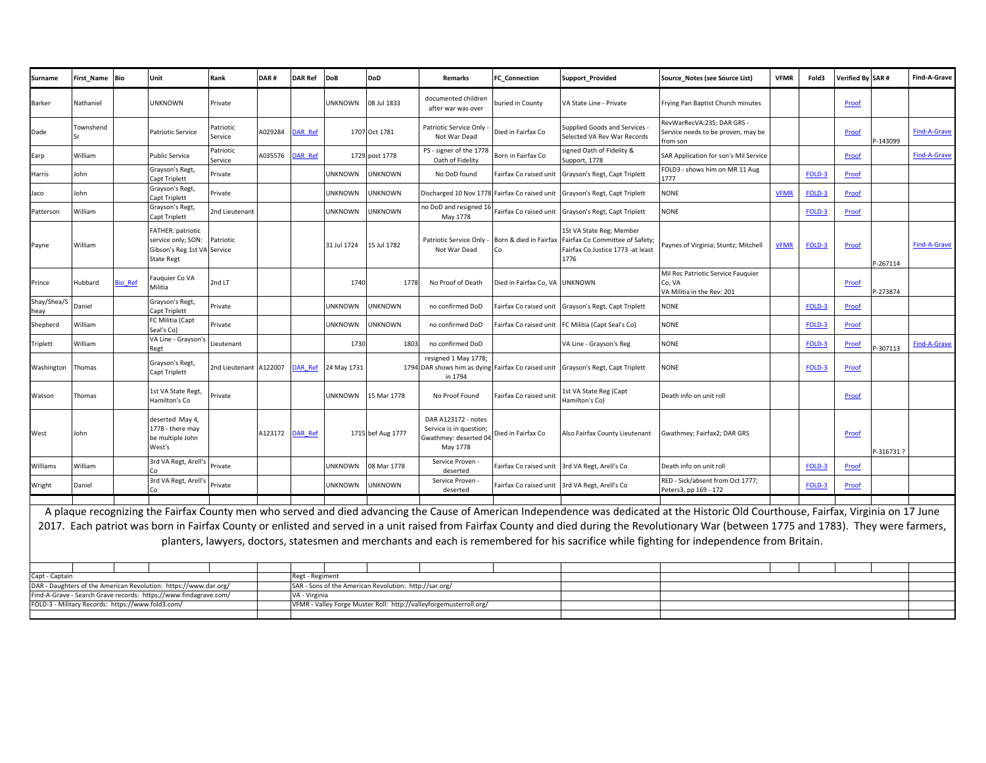| Surname                                                                            | First Name       | Bio     | Unit                                                                                               | Rank                   | DAR#    | <b>DAR Ref</b>  | <b>DoB</b>            | <b>DoD</b>                                             | <b>Remarks</b>                                                                      | C Connection                   | <b>Support Provided</b>                                                                                  | Source Notes (see Source List)                                                                                                                                                                                                                                                                                                                                                                                                                                                                                                       | <b>VFMR</b> | Fold3  | Verified By SAR# |           | Find-A-Grave        |
|------------------------------------------------------------------------------------|------------------|---------|----------------------------------------------------------------------------------------------------|------------------------|---------|-----------------|-----------------------|--------------------------------------------------------|-------------------------------------------------------------------------------------|--------------------------------|----------------------------------------------------------------------------------------------------------|--------------------------------------------------------------------------------------------------------------------------------------------------------------------------------------------------------------------------------------------------------------------------------------------------------------------------------------------------------------------------------------------------------------------------------------------------------------------------------------------------------------------------------------|-------------|--------|------------------|-----------|---------------------|
| <b>Barker</b>                                                                      | Nathaniel        |         | <b>UNKNOWN</b>                                                                                     | Private                |         |                 | UNKNOWN               | 08 Jul 1833                                            | documented children<br>after war was over                                           | ouried in County               | VA State Line - Private                                                                                  | Frying Pan Baptist Church minutes                                                                                                                                                                                                                                                                                                                                                                                                                                                                                                    |             |        | Proof            |           |                     |
| Dade                                                                               | <b>Townshend</b> |         | Patriotic Service                                                                                  | Patriotic<br>Service   | 4029284 | <b>DAR Ref</b>  |                       | 1707 Oct 1781                                          | Patriotic Service Only<br>Not War Dead                                              | Died in Fairfax Co             | Supplied Goods and Services<br>Selected VA Rev War Records                                               | RevWarRecVA:235; DAR GRS<br>Service needs to be proven, may be<br>from son                                                                                                                                                                                                                                                                                                                                                                                                                                                           |             |        | Proof            | P-143099  | <b>Find-A-Grave</b> |
| Earp                                                                               | William          |         | <b>Public Service</b>                                                                              | Patriotic<br>Service   | A035576 | <b>DAR Ref</b>  |                       | 1729 post 1778                                         | PS - signer of the 1778<br>Oath of Fidelity                                         | Born in Fairfax Co             | signed Oath of Fidelity &<br>Support, 1778                                                               | SAR Application for son's Mil Service                                                                                                                                                                                                                                                                                                                                                                                                                                                                                                |             |        | Proof            |           | Find-A-Grave        |
| Harris                                                                             | John             |         | Grayson's Regt<br>Capt Triplett                                                                    | Private                |         |                 | <b>UNKNOWN</b>        | UNKNOWN                                                | No DoD found                                                                        | Fairfax Co raised uni          | Grayson's Regt, Capt Triplett                                                                            | FOLD3 - shows him on MR 11 Aug<br>1777                                                                                                                                                                                                                                                                                                                                                                                                                                                                                               |             | FOLD-3 | Proof            |           |                     |
| Jaco                                                                               | John             |         | Grayson's Regt<br>Capt Triplett                                                                    | Private                |         |                 | <b>JNKNOWN</b>        | UNKNOWN                                                | Discharged 10 Nov 1778 Fairfax Co raised unit                                       |                                | Grayson's Regt, Capt Triplett                                                                            | <b>NONE</b>                                                                                                                                                                                                                                                                                                                                                                                                                                                                                                                          | <b>VFMR</b> | FOLD-3 | Proof            |           |                     |
| Patterson                                                                          | William          |         | Grayson's Regt<br>Capt Triplett                                                                    | 2nd Lieutenant         |         |                 | <b>JNKNOWN</b>        | UNKNOWN                                                | no DoD and resigned 16<br>May 1778                                                  | Fairfax Co raised unit         | Grayson's Regt, Capt Triplett                                                                            | <b>NONE</b>                                                                                                                                                                                                                                                                                                                                                                                                                                                                                                                          |             | FOLD-3 | Proof            |           |                     |
| Payne                                                                              | William          |         | <b>FATHER: patriotic</b><br>service only; SON:<br>Gibson's Reg 1st VA Service<br><b>State Regt</b> | Patriotic              |         |                 | 31 Jul 1724           | 15 Jul 1782                                            | Patriotic Service Only<br>Not War Dead                                              | Born & died in Fairfax<br>Co   | 1St VA State Reg; Member<br>Fairfax Co Committee of Safety;<br>Fairfax Co Justice 1773 -at least<br>1776 | Paynes of Virginia; Stuntz; Mitchell                                                                                                                                                                                                                                                                                                                                                                                                                                                                                                 | <b>VFMR</b> | FOLD-3 | Proof            | P-267114  | <b>Find-A-Grave</b> |
| Prince                                                                             | Hubbard          | Bio Ref | Fauquier Co VA<br>Militia                                                                          | 2nd LT                 |         |                 | 1740                  | 1778                                                   | No Proof of Death                                                                   | Died in Fairfax Co, VA UNKNOWN |                                                                                                          | Mil Rec Patriotic Service Fauguier<br>Co, VA<br>VA Militia in the Rev: 201                                                                                                                                                                                                                                                                                                                                                                                                                                                           |             |        | Proof            | $-273874$ |                     |
| Shay/Shea/S<br>leav                                                                | Daniel           |         | Grayson's Regt,<br>Capt Triplett                                                                   | Private                |         |                 | <b>JNKNOWN</b>        | <b>JNKNOWN</b>                                         | no confirmed DoD                                                                    | Fairfax Co raised unit         | Grayson's Regt, Capt Triplett                                                                            | <b>NONE</b>                                                                                                                                                                                                                                                                                                                                                                                                                                                                                                                          |             | FOLD-3 | Proof            |           |                     |
| Shepherd                                                                           | William          |         | FC Militia (Capt<br>Seal's Co)                                                                     | Private                |         |                 | <b>UNKNOWN</b>        | UNKNOWN                                                | no confirmed DoD                                                                    | Fairfax Co raised unit         | FC Militia (Capt Seal's Co)                                                                              | <b>NONE</b>                                                                                                                                                                                                                                                                                                                                                                                                                                                                                                                          |             | FOLD-3 | Proof            |           |                     |
| Triplett                                                                           | William          |         | VA Line - Grayson's<br>Regt                                                                        | Lieutenant             |         |                 | 1730                  | 1803                                                   | no confirmed DoD                                                                    |                                | VA Line - Grayson's Reg                                                                                  | <b>NONE</b>                                                                                                                                                                                                                                                                                                                                                                                                                                                                                                                          |             | FOLD-3 | Proof            | -307113   | <b>Find-A-Grave</b> |
| Washington                                                                         | Thomas           |         | Grayson's Regt<br>Capt Triplett                                                                    | 2nd Lieutenant A122007 |         | <b>DAR Ref</b>  | 24 May 1731           |                                                        | resigned 1 May 1778;<br>in 1794                                                     |                                | 1794 DAR shows him as dying Fairfax Co raised unit Grayson's Regt, Capt Triplett                         | NONE                                                                                                                                                                                                                                                                                                                                                                                                                                                                                                                                 |             | FOLD-3 | Proof            |           |                     |
| Watson                                                                             | Thomas           |         | 1st VA State Regt,<br>Hamilton's Co                                                                | Private                |         |                 | <b>UNKNOWN</b>        | 15 Mar 1778                                            | No Proof Found                                                                      | Fairfax Co raised uni          | 1st VA State Reg (Capt<br>Hamilton's Co)                                                                 | Death info on unit roll                                                                                                                                                                                                                                                                                                                                                                                                                                                                                                              |             |        | Proof            |           |                     |
| West                                                                               | John             |         | deserted May 4,<br>1778 - there may<br>be multiple John<br>West's                                  |                        | A123172 | <b>DAR Ref</b>  |                       | 1715 bef Aug 1777                                      | DAR A123172 - notes<br>Service is in question;<br>Gwathmey: deserted 04<br>May 1778 | Died in Fairfax Co             | Also Fairfax County Lieutenant                                                                           | Gwathmey; Fairfax2; DAR GRS                                                                                                                                                                                                                                                                                                                                                                                                                                                                                                          |             |        | Proof            | P-3167317 |                     |
| Williams                                                                           | William          |         | 3rd VA Regt, Arell's                                                                               | Private                |         |                 | <b>JNKNOWN</b>        | 08 Mar 1778                                            | Service Proven<br>deserted                                                          |                                | Fairfax Co raised unit 3rd VA Regt, Arell's Co                                                           | Death info on unit roll                                                                                                                                                                                                                                                                                                                                                                                                                                                                                                              |             | FOLD-3 | Proof            |           |                     |
| Wright                                                                             | Daniel           |         | 3rd VA Regt, Arell's                                                                               | Private                |         |                 | <b><i>UNKNOWN</i></b> | <b>JNKNOWN</b>                                         | Service Proven<br>deserted                                                          | airfax Co raised unit-         | 3rd VA Regt, Arell's Co                                                                                  | RED - Sick/absent from Oct 1777;<br>Peters3, pp 169 - 172                                                                                                                                                                                                                                                                                                                                                                                                                                                                            |             | FOLD-3 | Proof            |           |                     |
|                                                                                    |                  |         |                                                                                                    |                        |         |                 |                       |                                                        |                                                                                     |                                |                                                                                                          | A plaque recognizing the Fairfax County men who served and died advancing the Cause of American Independence was dedicated at the Historic Old Courthouse, Fairfax, Virginia on 17 June<br>2017. Each patriot was born in Fairfax County or enlisted and served in a unit raised from Fairfax County and died during the Revolutionary War (between 1775 and 1783). They were farmers,<br>planters, lawyers, doctors, statesmen and merchants and each is remembered for his sacrifice while fighting for independence from Britain. |             |        |                  |           |                     |
| Capt - Captain<br>DAR - Daughters of the American Revolution: https://www.dar.org/ |                  |         |                                                                                                    |                        |         | Regt - Regiment |                       | SAR - Sons of the American Revolution: http://sar.org/ |                                                                                     |                                |                                                                                                          |                                                                                                                                                                                                                                                                                                                                                                                                                                                                                                                                      |             |        |                  |           |                     |
| Find-A-Grave - Search Grave records: https://www.findagrave.com/                   |                  |         |                                                                                                    |                        |         |                 | VA - Virginia         |                                                        |                                                                                     |                                |                                                                                                          |                                                                                                                                                                                                                                                                                                                                                                                                                                                                                                                                      |             |        |                  |           |                     |
| FOLD-3 - Military Records: https://www.fold3.com/                                  |                  |         |                                                                                                    |                        |         |                 |                       |                                                        | VFMR - Valley Forge Muster Roll: http://valleyforgemusterroll.org/                  |                                |                                                                                                          |                                                                                                                                                                                                                                                                                                                                                                                                                                                                                                                                      |             |        |                  |           |                     |

VFMR - Valley Forge Muster Roll: http://valleyforgemusterroll.org/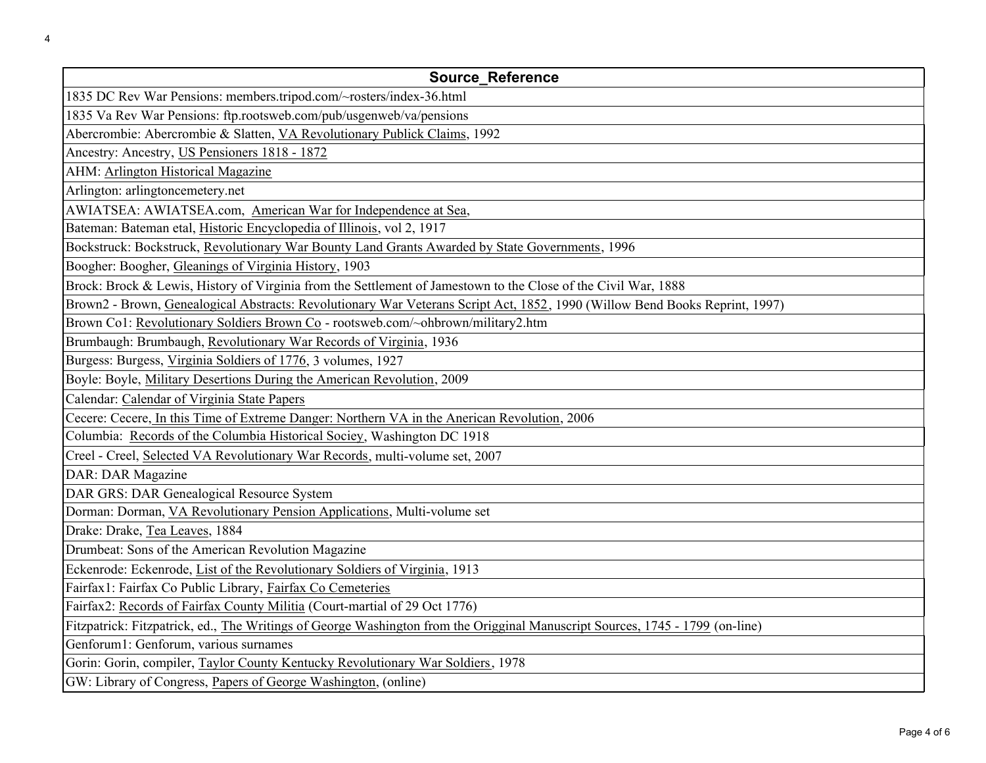| <b>Source Reference</b>                                                                                                       |
|-------------------------------------------------------------------------------------------------------------------------------|
| 1835 DC Rev War Pensions: members.tripod.com/~rosters/index-36.html                                                           |
| 1835 Va Rev War Pensions: ftp.rootsweb.com/pub/usgenweb/va/pensions                                                           |
| Abercrombie: Abercrombie & Slatten, VA Revolutionary Publick Claims, 1992                                                     |
| Ancestry: Ancestry, US Pensioners 1818 - 1872                                                                                 |
| AHM: Arlington Historical Magazine                                                                                            |
| Arlington: arlingtoncemetery.net                                                                                              |
| AWIATSEA: AWIATSEA.com, American War for Independence at Sea,                                                                 |
| Bateman: Bateman etal, Historic Encyclopedia of Illinois, vol 2, 1917                                                         |
| Bockstruck: Bockstruck, Revolutionary War Bounty Land Grants Awarded by State Governments, 1996                               |
| Boogher: Boogher, Gleanings of Virginia History, 1903                                                                         |
| Brock: Brock & Lewis, History of Virginia from the Settlement of Jamestown to the Close of the Civil War, 1888                |
| Brown2 - Brown, Genealogical Abstracts: Revolutionary War Veterans Script Act, 1852, 1990 (Willow Bend Books Reprint, 1997)   |
| Brown Co1: Revolutionary Soldiers Brown Co - rootsweb.com/~ohbrown/military2.htm                                              |
| Brumbaugh: Brumbaugh, Revolutionary War Records of Virginia, 1936                                                             |
| Burgess: Burgess, Virginia Soldiers of 1776, 3 volumes, 1927                                                                  |
| Boyle: Boyle, Military Desertions During the American Revolution, 2009                                                        |
| Calendar: Calendar of Virginia State Papers                                                                                   |
| Cecere: Cecere, In this Time of Extreme Danger: Northern VA in the Anerican Revolution, 2006                                  |
| Columbia: Records of the Columbia Historical Sociey, Washington DC 1918                                                       |
| Creel - Creel, Selected VA Revolutionary War Records, multi-volume set, 2007                                                  |
| DAR: DAR Magazine                                                                                                             |
| DAR GRS: DAR Genealogical Resource System                                                                                     |
| Dorman: Dorman, VA Revolutionary Pension Applications, Multi-volume set                                                       |
| Drake: Drake, Tea Leaves, 1884                                                                                                |
| Drumbeat: Sons of the American Revolution Magazine                                                                            |
| Eckenrode: Eckenrode, List of the Revolutionary Soldiers of Virginia, 1913                                                    |
| Fairfax1: Fairfax Co Public Library, Fairfax Co Cemeteries                                                                    |
| Fairfax2: Records of Fairfax County Militia (Court-martial of 29 Oct 1776)                                                    |
| Fitzpatrick: Fitzpatrick, ed., The Writings of George Washington from the Origginal Manuscript Sources, 1745 - 1799 (on-line) |
| Genforum1: Genforum, various surnames                                                                                         |
| Gorin: Gorin, compiler, Taylor County Kentucky Revolutionary War Soldiers, 1978                                               |
| GW: Library of Congress, Papers of George Washington, (online)                                                                |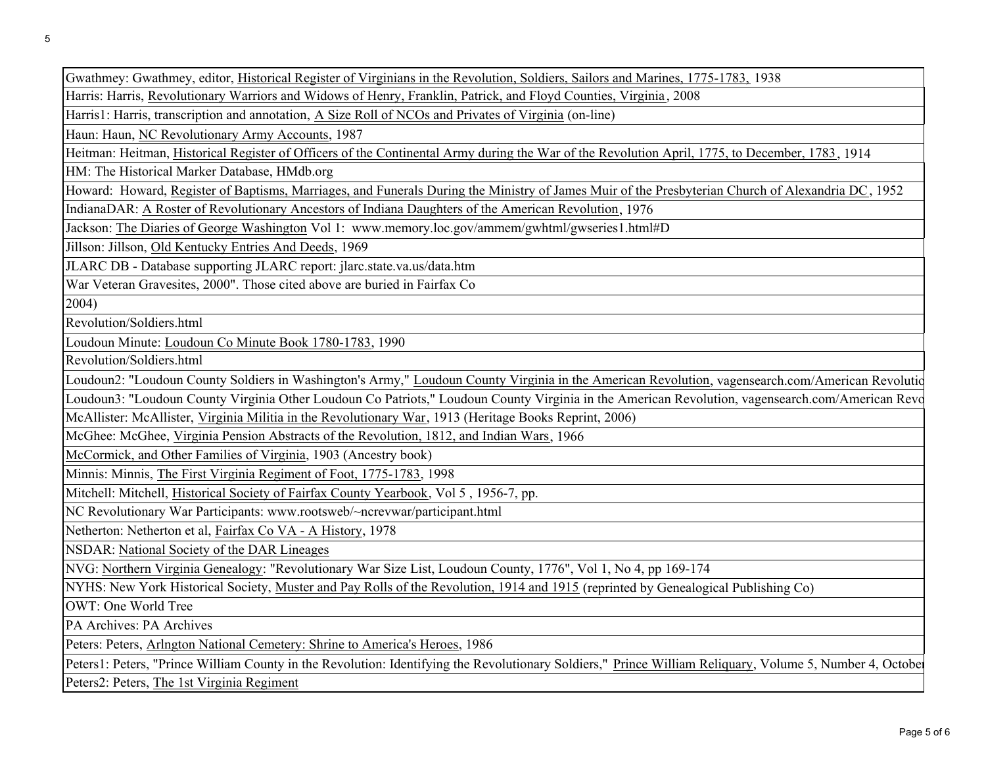Gwathmey: Gwathmey, editor, Historical Register of Virginians in the Revolution, Soldiers, Sailors and Marines, 1775-1783, 1938

Harris: Harris, Revolutionary Warriors and Widows of Henry, Franklin, Patrick, and Floyd Counties, Virginia , 2008

Harris1: Harris, transcription and annotation, A Size Roll of NCOs and Privates of Virginia (on-line)

Haun: Haun, NC Revolutionary Army Accounts, 1987

Heitman: Heitman, Historical Register of Officers of the Continental Army during the War of the Revolution April, 1775, to December, 1783, 1914

HM: The Historical Marker Database, HMdb.org

Howard: Howard, Register of Baptisms, Marriages, and Funerals During the Ministry of James Muir of the Presbyterian Church of Alexandria DC, 1952

IndianaDAR: A Roster of Revolutionary Ancestors of Indiana Daughters of the American Revolution, 1976

Jackson: The Diaries of George Washington Vol 1: www.memory.loc.gov/ammem/gwhtml/gwseries1.html#D

Jillson: Jillson, Old Kentucky Entries And Deeds, 1969

JLARC DB - Database supporting JLARC report: jlarc.state.va.us/data.htm

War Veteran Gravesites, 2000". Those cited above are buried in Fairfax Co

2004)

Revolution/Soldiers.html

Loudoun Minute: Loudoun Co Minute Book 1780-1783, 1990

Revolution/Soldiers.html

Loudoun2: "Loudoun County Soldiers in Washington's Army," Loudoun County Virginia in the American Revolution, vagensearch.com/American Revolutio

McAllister: McAllister, Virginia Militia in the Revolutionary War, 1913 (Heritage Books Reprint, 2006) Loudoun3: "Loudoun County Virginia Other Loudoun Co Patriots," Loudoun County Virginia in the American Revolution, vagensearch.com/American Revo

McGhee: McGhee, Virginia Pension Abstracts of the Revolution, 1812, and Indian Wars, 1966

McCormick, and Other Families of Virginia, 1903 (Ancestry book)

Minnis: Minnis, The First Virginia Regiment of Foot, 1775-1783, 1998

Mitchell: Mitchell, Historical Society of Fairfax County Yearbook, Vol 5 , 1956-7, pp.

NC Revolutionary War Participants: www.rootsweb/~ncrevwar/participant.html

Netherton: Netherton et al, Fairfax Co VA - A History, 1978

NSDAR: National Society of the DAR Lineages

NVG: Northern Virginia Genealogy: "Revolutionary War Size List, Loudoun County, 1776", Vol 1, No 4, pp 169-174

NYHS: New York Historical Society, Muster and Pay Rolls of the Revolution, 1914 and 1915 (reprinted by Genealogical Publishing Co)

OWT: One World Tree

PA Archives: PA Archives

Peters: Peters, Arlngton National Cemetery: Shrine to America's Heroes, 1986

Peters1: Peters, "Prince William County in the Revolution: Identifying the Revolutionary Soldiers," Prince William Reliquary, Volume 5, Number 4, October

Peters2: Peters, The 1st Virginia Regiment